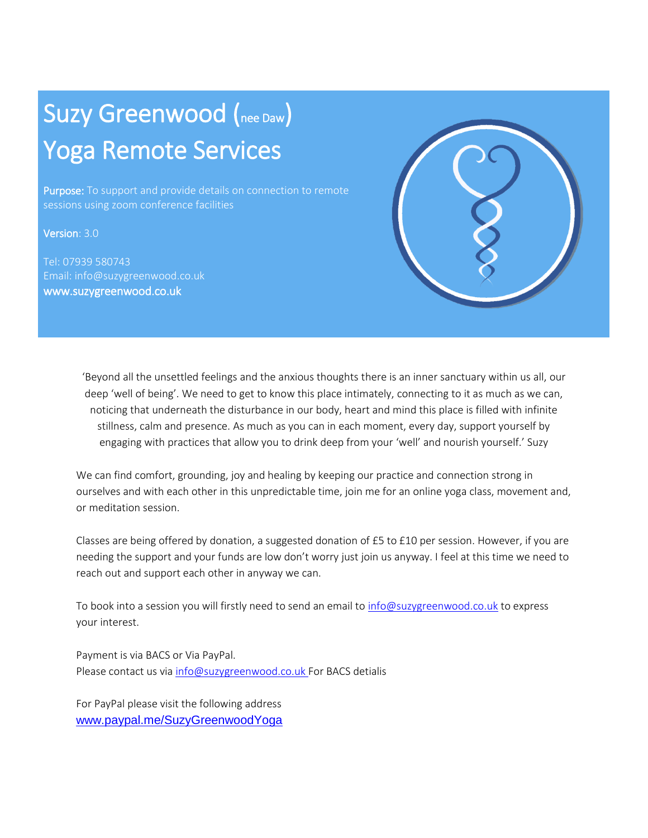# Suzy Greenwood (nee Daw) Yoga Remote Services

Purpose: To support and provide details on connection to remote sessions using zoom conference facilities

Version: 3.0

Tel: 07939 580743 Email: info@suzygreenwood.co.uk www.suzygreenwood.co.uk



'Beyond all the unsettled feelings and the anxious thoughts there is an inner sanctuary within us all, our deep 'well of being'. We need to get to know this place intimately, connecting to it as much as we can, noticing that underneath the disturbance in our body, heart and mind this place is filled with infinite stillness, calm and presence. As much as you can in each moment, every day, support yourself by engaging with practices that allow you to drink deep from your 'well' and nourish yourself.' Suzy

We can find comfort, grounding, joy and healing by keeping our practice and connection strong in ourselves and with each other in this unpredictable time, join me for an online yoga class, movement and, or meditation session.

Classes are being offered by donation, a suggested donation of £5 to £10 per session. However, if you are needing the support and your funds are low don't worry just join us anyway. I feel at this time we need to reach out and support each other in anyway we can.

To book into a session you will firstly need to send an email to [info@suzygreenwood.co.uk](mailto:info@suzygreenwood.co.uk) to express your interest.

Payment is via BACS or Via PayPal. Please contact us via [info@suzygreenwood.co.uk](mailto:info@suzygreenwood.co.uk) For BACS detialis

For PayPal please visit the following address www.[paypal.me/SuzyGreenwoodYoga](http://www.paypal.me/SuzyGreenwoodYoga)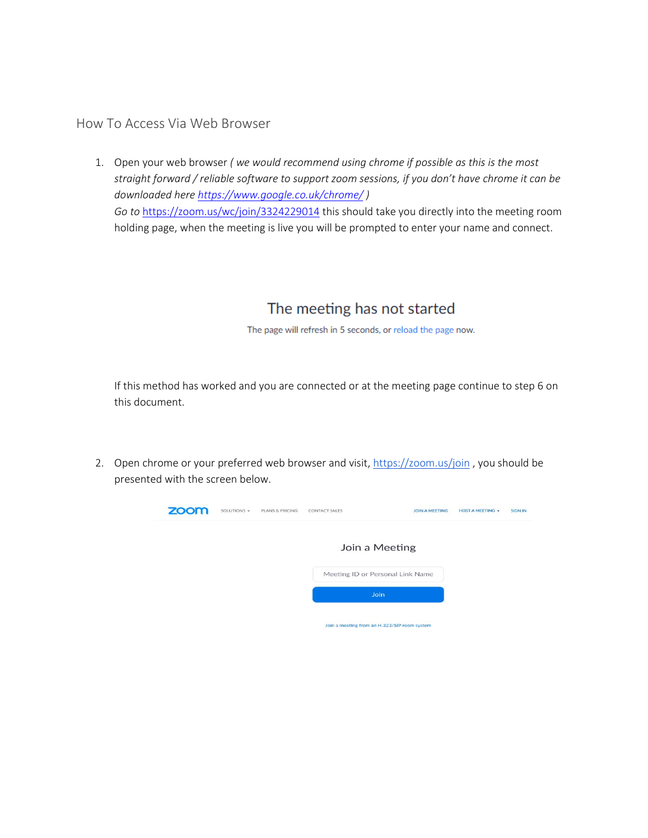### How To Access Via Web Browser

1. Open your web browser *( we would recommend using chrome if possible as this is the most straight forward / reliable software to support zoom sessions, if you don't have chrome it can be downloaded here<https://www.google.co.uk/chrome/> ) Go to* <https://zoom.us/wc/join/3324229014> this should take you directly into the meeting room holding page, when the meeting is live you will be prompted to enter your name and connect.

# The meeting has not started

The page will refresh in 5 seconds, or reload the page now.

If this method has worked and you are connected or at the meeting page continue to step 6 on this document.

2. Open chrome or your preferred web browser and visit, [https://zoom.us/join](about:blank), you should be presented with the screen below.

| zoom | SOLUTIONS -                                  | PLANS & PRICING | <b>CONTACT SALES</b>             | <b>JOIN A MEETING</b> | <b>HOST A MEETING +</b> | <b>SIGN IN</b> |
|------|----------------------------------------------|-----------------|----------------------------------|-----------------------|-------------------------|----------------|
|      |                                              |                 | Join a Meeting                   |                       |                         |                |
|      |                                              |                 | Meeting ID or Personal Link Name |                       |                         |                |
|      |                                              |                 | Join                             |                       |                         |                |
|      | Join a meeting from an H.323/SIP room system |                 |                                  |                       |                         |                |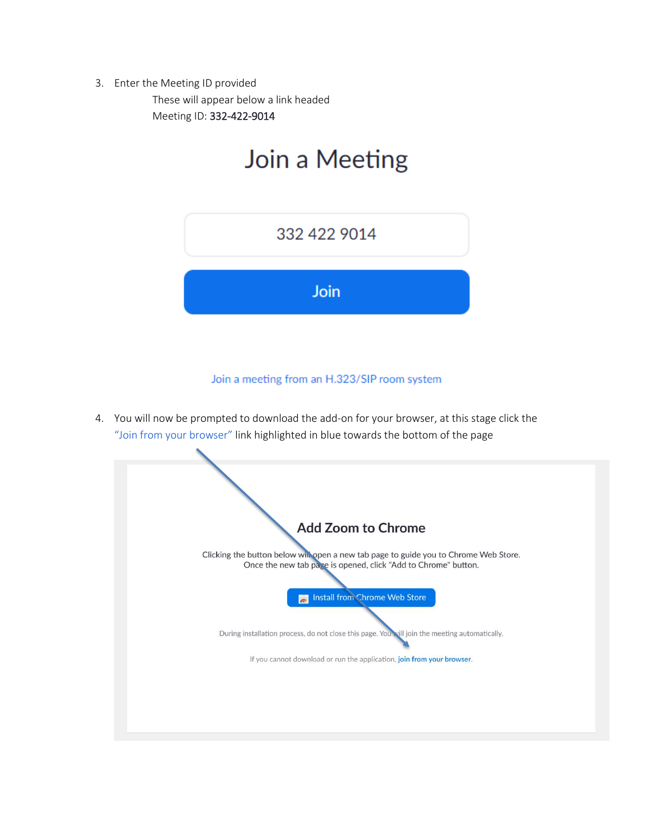3. Enter the Meeting ID provided

These will appear below a link headed Meeting ID: 332-422-9014

# Join a Meeting



#### Join a meeting from an H.323/SIP room system

4. You will now be prompted to download the add-on for your browser, at this stage click the "Join from your browser" link highlighted in blue towards the bottom of the page

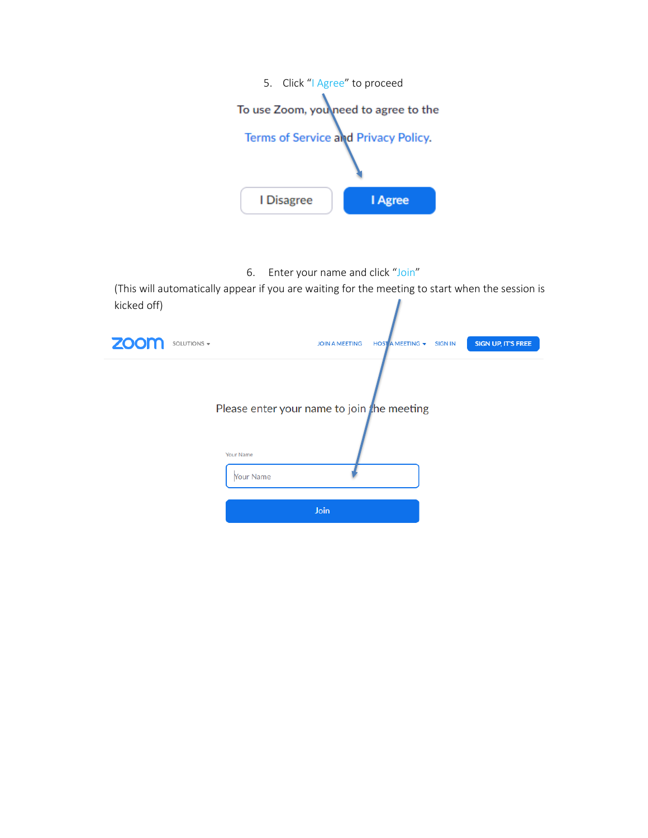

6. Enter your name and click "Join"

(This will automatically appear if you are waiting for the meeting to start when the session is kicked off)I

| zoom | SOLUTIONS - |                                            | <b>JOIN A MEETING</b> | HOST A MEETING + | <b>SIGN IN</b> | <b>SIGN UP, IT'S FREE</b> |
|------|-------------|--------------------------------------------|-----------------------|------------------|----------------|---------------------------|
|      |             | Please enter your name to join the meeting |                       |                  |                |                           |
|      |             | Your Name                                  |                       |                  |                |                           |
|      |             | Your Name                                  |                       |                  |                |                           |
|      |             | Join                                       |                       |                  |                |                           |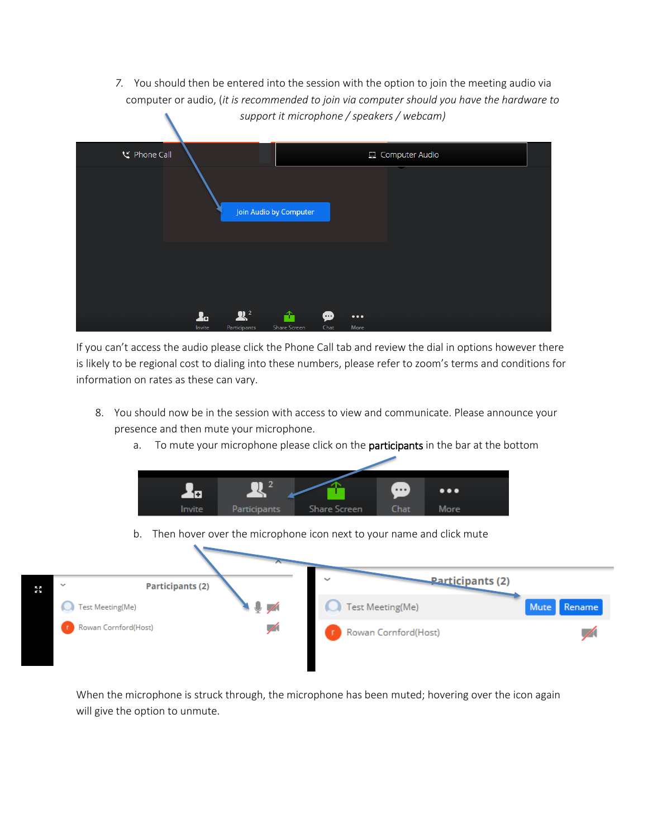*7.* You should then be entered into the session with the option to join the meeting audio via computer or audio, (*it is recommended to join via computer should you have the hardware to support it microphone / speakers / webcam)*

| く Phone Call |        |                |                        |      | Computer Audio          |  |
|--------------|--------|----------------|------------------------|------|-------------------------|--|
|              |        |                | Join Audio by Computer |      | ٠                       |  |
|              |        |                |                        |      |                         |  |
|              | 2a     | $\mathbf{R}^2$ | A                      | ⊕    | $\bullet\bullet\bullet$ |  |
|              | Invite | Participants   | <b>Share Screen</b>    | Chat | More                    |  |

If you can't access the audio please click the Phone Call tab and review the dial in options however there is likely to be regional cost to dialing into these numbers, please refer to zoom's terms and conditions for information on rates as these can vary.

- 8. You should now be in the session with access to view and communicate. Please announce your presence and then mute your microphone.
	- a. To mute your microphone please click on the participants in the bar at the bottom



b. Then hover over the microphone icon next to your name and click mute



When the microphone is struck through, the microphone has been muted; hovering over the icon again will give the option to unmute.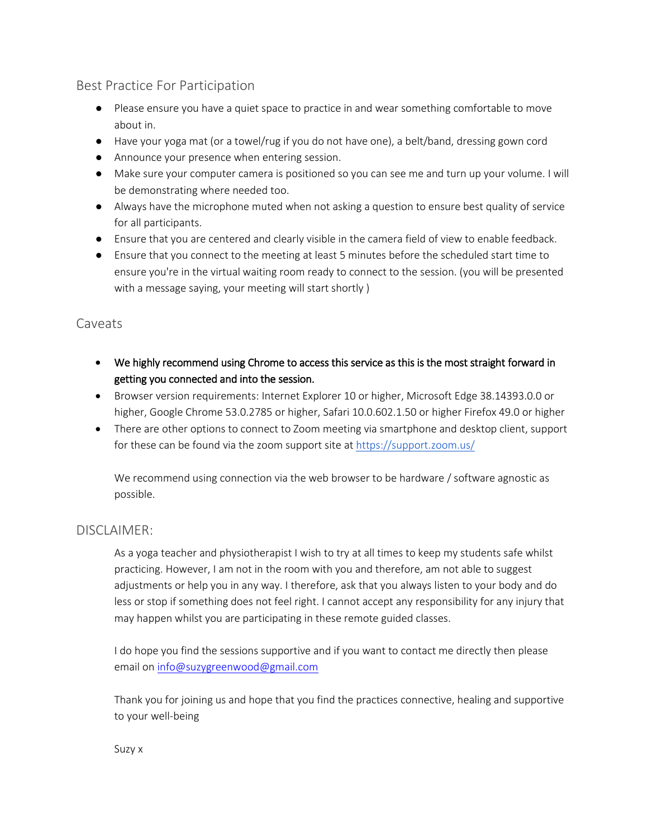# Best Practice For Participation

- Please ensure you have a quiet space to practice in and wear something comfortable to move about in.
- Have your yoga mat (or a towel/rug if you do not have one), a belt/band, dressing gown cord
- Announce your presence when entering session.
- Make sure your computer camera is positioned so you can see me and turn up your volume. I will be demonstrating where needed too.
- Always have the microphone muted when not asking a question to ensure best quality of service for all participants.
- Ensure that you are centered and clearly visible in the camera field of view to enable feedback.
- Ensure that you connect to the meeting at least 5 minutes before the scheduled start time to ensure you're in the virtual waiting room ready to connect to the session. (you will be presented with a message saying, your meeting will start shortly )

## Caveats

- We highly recommend using Chrome to access this service as this is the most straight forward in getting you connected and into the session.
- Browser version requirements: Internet Explorer 10 or higher, Microsoft Edge 38.14393.0.0 or higher, Google Chrome 53.0.2785 or higher, Safari 10.0.602.1.50 or higher Firefox 49.0 or higher
- There are other options to connect to Zoom meeting via smartphone and desktop client, support for these can be found via the zoom support site a[t https://support.zoom.us/](about:blank)

We recommend using connection via the web browser to be hardware / software agnostic as possible.

## DISCLAIMER:

As a yoga teacher and physiotherapist I wish to try at all times to keep my students safe whilst practicing. However, I am not in the room with you and therefore, am not able to suggest adjustments or help you in any way. I therefore, ask that you always listen to your body and do less or stop if something does not feel right. I cannot accept any responsibility for any injury that may happen whilst you are participating in these remote guided classes.

I do hope you find the sessions supportive and if you want to contact me directly then please email o[n info@suzygreenwood@gmail.com](mailto:info@suzygreenwood@gmail.com)

Thank you for joining us and hope that you find the practices connective, healing and supportive to your well-being

Suzy x